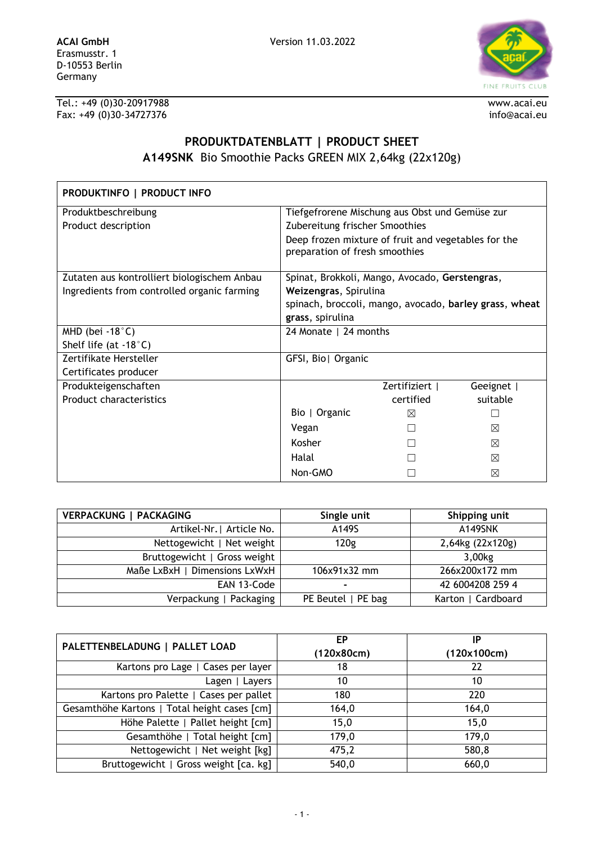

Tel.: +49 (0)30-20917988 www.acai.eu Fax: +49 (0)30-34727376 info@acai.eu

## **PRODUKTDATENBLATT | PRODUCT SHEET A149SNK** Bio Smoothie Packs GREEN MIX 2,64kg (22x120g)

| PRODUKTINFO   PRODUCT INFO                  |                                                                                       |              |          |
|---------------------------------------------|---------------------------------------------------------------------------------------|--------------|----------|
| Produktbeschreibung                         | Tiefgefrorene Mischung aus Obst und Gemüse zur                                        |              |          |
| Product description                         | Zubereitung frischer Smoothies                                                        |              |          |
|                                             | Deep frozen mixture of fruit and vegetables for the<br>preparation of fresh smoothies |              |          |
| Zutaten aus kontrolliert biologischem Anbau | Spinat, Brokkoli, Mango, Avocado, Gerstengras,                                        |              |          |
| Ingredients from controlled organic farming | Weizengras, Spirulina                                                                 |              |          |
|                                             | spinach, broccoli, mango, avocado, barley grass, wheat                                |              |          |
|                                             | grass, spirulina                                                                      |              |          |
| MHD (bei -18 $^{\circ}$ C)                  | 24 Monate   24 months                                                                 |              |          |
| Shelf life (at $-18^{\circ}$ C)             |                                                                                       |              |          |
| Zertifikate Hersteller                      | GFSI, Bio  Organic                                                                    |              |          |
| Certificates producer                       |                                                                                       |              |          |
| Produkteigenschaften                        |                                                                                       | Zertifiziert | Geeignet |
| <b>Product characteristics</b>              |                                                                                       | certified    | suitable |
|                                             | Bio   Organic                                                                         | ⊠            |          |
|                                             | Vegan                                                                                 |              | ⊠        |
|                                             | Kosher                                                                                |              | ⊠        |
|                                             | Halal                                                                                 |              | ⊠        |
|                                             | Non-GMO                                                                               |              | ⊠        |

| <b>VERPACKUNG   PACKAGING</b> | Single unit        | Shipping unit      |
|-------------------------------|--------------------|--------------------|
| Artikel-Nr.   Article No.     | A149S              | A149SNK            |
| Nettogewicht   Net weight     | 120g               | 2,64kg (22x120g)   |
| Bruttogewicht   Gross weight  |                    | 3,00kg             |
| Maße LxBxH   Dimensions LxWxH | 106x91x32 mm       | 266x200x172 mm     |
| EAN 13-Code                   |                    | 42 6004208 259 4   |
| Verpackung   Packaging        | PE Beutel   PE bag | Karton   Cardboard |

| PALETTENBELADUNG   PALLET LOAD               | ЕP         | IP          |
|----------------------------------------------|------------|-------------|
|                                              | (120x80cm) | (120x100cm) |
| Kartons pro Lage   Cases per layer           | 18         | 22          |
| Lagen   Layers                               | 10         | 10          |
| Kartons pro Palette   Cases per pallet       | 180        | 220         |
| Gesamthöhe Kartons   Total height cases [cm] | 164,0      | 164,0       |
| Höhe Palette   Pallet height [cm]            | 15,0       | 15,0        |
| Gesamthöhe   Total height [cm]               | 179,0      | 179,0       |
| Nettogewicht   Net weight [kg]               | 475,2      | 580,8       |
| Bruttogewicht   Gross weight [ca. kg]        | 540,0      | 660,0       |